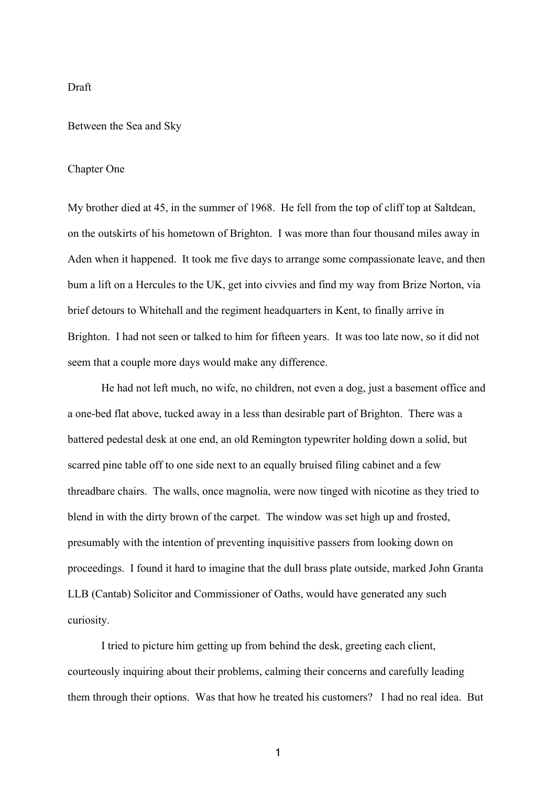## Draft

## Between the Sea and Sky

## Chapter One

My brother died at 45, in the summer of 1968. He fell from the top of cliff top at Saltdean, on the outskirts of his hometown of Brighton. I was more than four thousand miles away in Aden when it happened. It took me five days to arrange some compassionate leave, and then bum a lift on a Hercules to the UK, get into civvies and find my way from Brize Norton, via brief detours to Whitehall and the regiment headquarters in Kent, to finally arrive in Brighton. I had not seen or talked to him for fifteen years. It was too late now, so it did not seem that a couple more days would make any difference.

He had not left much, no wife, no children, not even a dog, just a basement office and a one-bed flat above, tucked away in a less than desirable part of Brighton. There was a battered pedestal desk at one end, an old Remington typewriter holding down a solid, but scarred pine table off to one side next to an equally bruised filing cabinet and a few threadbare chairs. The walls, once magnolia, were now tinged with nicotine as they tried to blend in with the dirty brown of the carpet. The window was set high up and frosted, presumably with the intention of preventing inquisitive passers from looking down on proceedings. I found it hard to imagine that the dull brass plate outside, marked John Granta LLB (Cantab) Solicitor and Commissioner of Oaths, would have generated any such curiosity.

I tried to picture him getting up from behind the desk, greeting each client, courteously inquiring about their problems, calming their concerns and carefully leading them through their options. Was that how he treated his customers? I had no real idea. But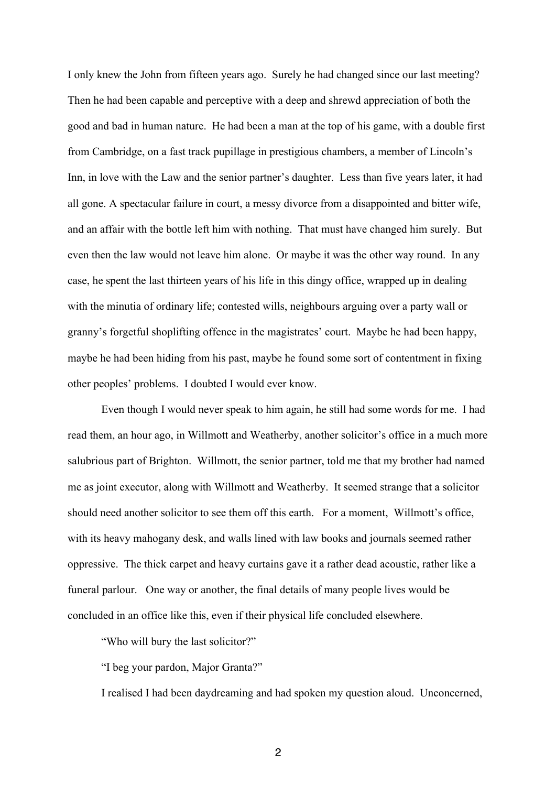I only knew the John from fifteen years ago. Surely he had changed since our last meeting? Then he had been capable and perceptive with a deep and shrewd appreciation of both the good and bad in human nature. He had been a man at the top of his game, with a double first from Cambridge, on a fast track pupillage in prestigious chambers, a member of Lincoln's Inn, in love with the Law and the senior partner's daughter. Less than five years later, it had all gone. A spectacular failure in court, a messy divorce from a disappointed and bitter wife, and an affair with the bottle left him with nothing. That must have changed him surely. But even then the law would not leave him alone. Or maybe it was the other way round. In any case, he spent the last thirteen years of his life in this dingy office, wrapped up in dealing with the minutia of ordinary life; contested wills, neighbours arguing over a party wall or granny's forgetful shoplifting offence in the magistrates' court. Maybe he had been happy, maybe he had been hiding from his past, maybe he found some sort of contentment in fixing other peoples' problems. I doubted I would ever know.

Even though I would never speak to him again, he still had some words for me. I had read them, an hour ago, in Willmott and Weatherby, another solicitor's office in a much more salubrious part of Brighton. Willmott, the senior partner, told me that my brother had named me as joint executor, along with Willmott and Weatherby. It seemed strange that a solicitor should need another solicitor to see them off this earth. For a moment, Willmott's office, with its heavy mahogany desk, and walls lined with law books and journals seemed rather oppressive. The thick carpet and heavy curtains gave it a rather dead acoustic, rather like a funeral parlour. One way or another, the final details of many people lives would be concluded in an office like this, even if their physical life concluded elsewhere.

"Who will bury the last solicitor?"

"I beg your pardon, Major Granta?"

I realised I had been daydreaming and had spoken my question aloud. Unconcerned,

 $\mathfrak{p}$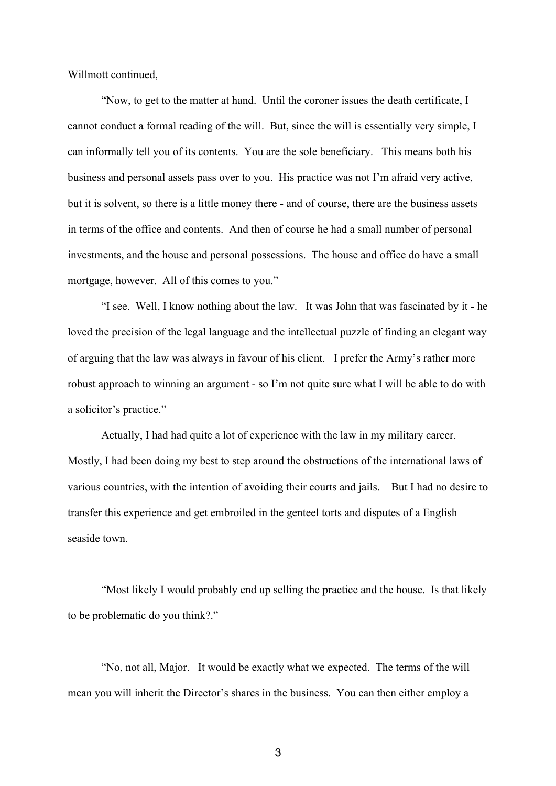Willmott continued,

"Now, to get to the matter at hand. Until the coroner issues the death certificate, I cannot conduct a formal reading of the will. But, since the will is essentially very simple, I can informally tell you of its contents. You are the sole beneficiary. This means both his business and personal assets pass over to you. His practice was not I'm afraid very active, but it is solvent, so there is a little money there - and of course, there are the business assets in terms of the office and contents. And then of course he had a small number of personal investments, and the house and personal possessions. The house and office do have a small mortgage, however. All of this comes to you."

"I see. Well, I know nothing about the law. It was John that was fascinated by it - he loved the precision of the legal language and the intellectual puzzle of finding an elegant way of arguing that the law was always in favour of his client. I prefer the Army's rather more robust approach to winning an argument - so I'm not quite sure what I will be able to do with a solicitor's practice."

Actually, I had had quite a lot of experience with the law in my military career. Mostly, I had been doing my best to step around the obstructions of the international laws of various countries, with the intention of avoiding their courts and jails. But I had no desire to transfer this experience and get embroiled in the genteel torts and disputes of a English seaside town.

"Most likely I would probably end up selling the practice and the house. Is that likely to be problematic do you think?."

"No, not all, Major. It would be exactly what we expected. The terms of the will mean you will inherit the Director's shares in the business. You can then either employ a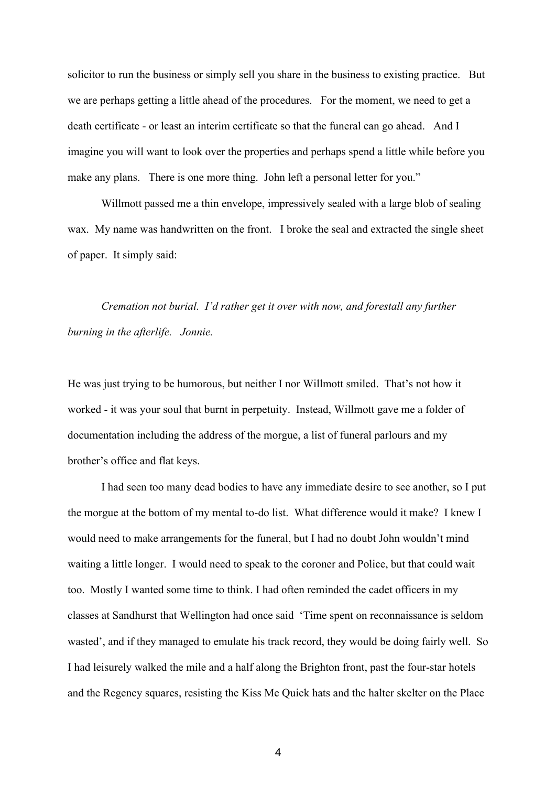solicitor to run the business or simply sell you share in the business to existing practice. But we are perhaps getting a little ahead of the procedures. For the moment, we need to get a death certificate - or least an interim certificate so that the funeral can go ahead. And I imagine you will want to look over the properties and perhaps spend a little while before you make any plans. There is one more thing. John left a personal letter for you."

Willmott passed me a thin envelope, impressively sealed with a large blob of sealing wax. My name was handwritten on the front. I broke the seal and extracted the single sheet of paper. It simply said:

*Cremation not burial. I'd rather get it over with now, and forestall any further burning in the afterlife. Jonnie.*

He was just trying to be humorous, but neither I nor Willmott smiled. That's not how it worked - it was your soul that burnt in perpetuity. Instead, Willmott gave me a folder of documentation including the address of the morgue, a list of funeral parlours and my brother's office and flat keys.

I had seen too many dead bodies to have any immediate desire to see another, so I put the morgue at the bottom of my mental to-do list. What difference would it make? I knew I would need to make arrangements for the funeral, but I had no doubt John wouldn't mind waiting a little longer. I would need to speak to the coroner and Police, but that could wait too. Mostly I wanted some time to think. I had often reminded the cadet officers in my classes at Sandhurst that Wellington had once said 'Time spent on reconnaissance is seldom wasted', and if they managed to emulate his track record, they would be doing fairly well. So I had leisurely walked the mile and a half along the Brighton front, past the four-star hotels and the Regency squares, resisting the Kiss Me Quick hats and the halter skelter on the Place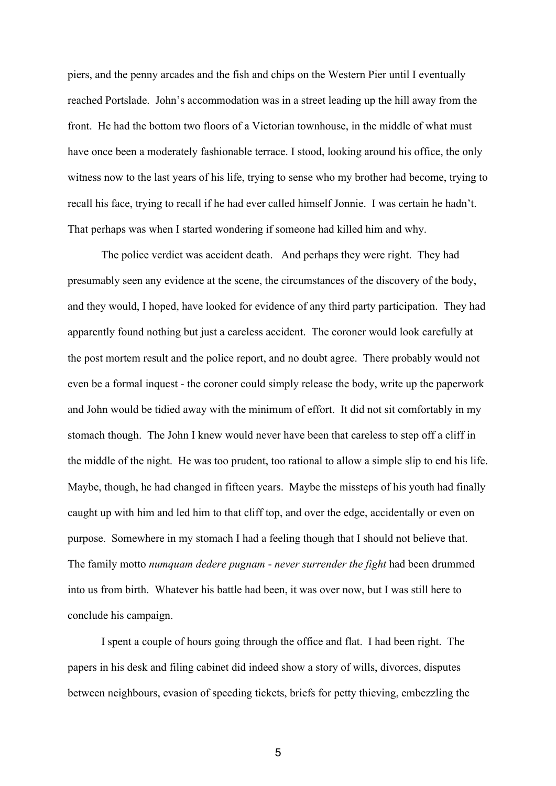piers, and the penny arcades and the fish and chips on the Western Pier until I eventually reached Portslade. John's accommodation was in a street leading up the hill away from the front. He had the bottom two floors of a Victorian townhouse, in the middle of what must have once been a moderately fashionable terrace. I stood, looking around his office, the only witness now to the last years of his life, trying to sense who my brother had become, trying to recall his face, trying to recall if he had ever called himself Jonnie. I was certain he hadn't. That perhaps was when I started wondering if someone had killed him and why.

The police verdict was accident death. And perhaps they were right. They had presumably seen any evidence at the scene, the circumstances of the discovery of the body, and they would, I hoped, have looked for evidence of any third party participation. They had apparently found nothing but just a careless accident. The coroner would look carefully at the post mortem result and the police report, and no doubt agree. There probably would not even be a formal inquest - the coroner could simply release the body, write up the paperwork and John would be tidied away with the minimum of effort. It did not sit comfortably in my stomach though. The John I knew would never have been that careless to step off a cliff in the middle of the night. He was too prudent, too rational to allow a simple slip to end his life. Maybe, though, he had changed in fifteen years. Maybe the missteps of his youth had finally caught up with him and led him to that cliff top, and over the edge, accidentally or even on purpose. Somewhere in my stomach I had a feeling though that I should not believe that. The family motto *numquam dedere pugnam* - *never surrender the fight* had been drummed into us from birth. Whatever his battle had been, it was over now, but I was still here to conclude his campaign.

I spent a couple of hours going through the office and flat. I had been right. The papers in his desk and filing cabinet did indeed show a story of wills, divorces, disputes between neighbours, evasion of speeding tickets, briefs for petty thieving, embezzling the